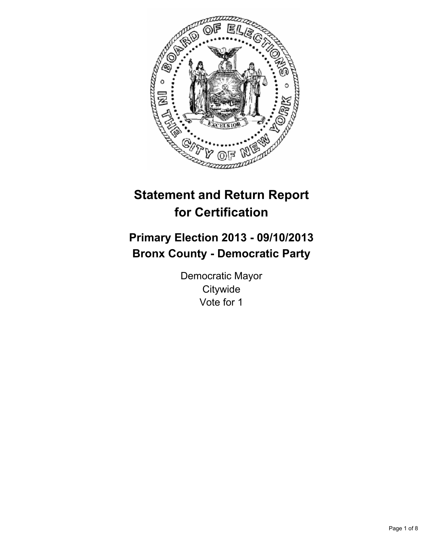

# **Statement and Return Report for Certification**

## **Primary Election 2013 - 09/10/2013 Bronx County - Democratic Party**

Democratic Mayor **Citywide** Vote for 1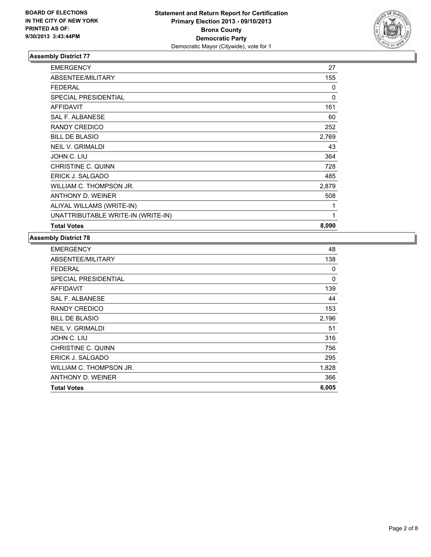

| <b>EMERGENCY</b>                   | 27    |
|------------------------------------|-------|
| <b>ABSENTEE/MILITARY</b>           | 155   |
| <b>FEDERAL</b>                     | 0     |
| <b>SPECIAL PRESIDENTIAL</b>        | 0     |
| <b>AFFIDAVIT</b>                   | 161   |
| <b>SAL F. ALBANESE</b>             | 60    |
| RANDY CREDICO                      | 252   |
| <b>BILL DE BLASIO</b>              | 2,769 |
| <b>NEIL V. GRIMALDI</b>            | 43    |
| JOHN C. LIU                        | 364   |
| CHRISTINE C. QUINN                 | 728   |
| ERICK J. SALGADO                   | 485   |
| WILLIAM C. THOMPSON JR.            | 2,879 |
| ANTHONY D. WEINER                  | 508   |
| ALIYAL WILLAMS (WRITE-IN)          | 1     |
| UNATTRIBUTABLE WRITE-IN (WRITE-IN) | 1     |
| <b>Total Votes</b>                 | 8,090 |

| <b>EMERGENCY</b>            | 48    |
|-----------------------------|-------|
| <b>ABSENTEE/MILITARY</b>    | 138   |
| <b>FEDERAL</b>              | 0     |
| <b>SPECIAL PRESIDENTIAL</b> | 0     |
| <b>AFFIDAVIT</b>            | 139   |
| <b>SAL F. ALBANESE</b>      | 44    |
| RANDY CREDICO               | 153   |
| <b>BILL DE BLASIO</b>       | 2,196 |
| <b>NEIL V. GRIMALDI</b>     | 51    |
| JOHN C. LIU                 | 316   |
| CHRISTINE C. QUINN          | 756   |
| ERICK J. SALGADO            | 295   |
| WILLIAM C. THOMPSON JR.     | 1,828 |
| ANTHONY D. WEINER           | 366   |
| <b>Total Votes</b>          | 6,005 |
|                             |       |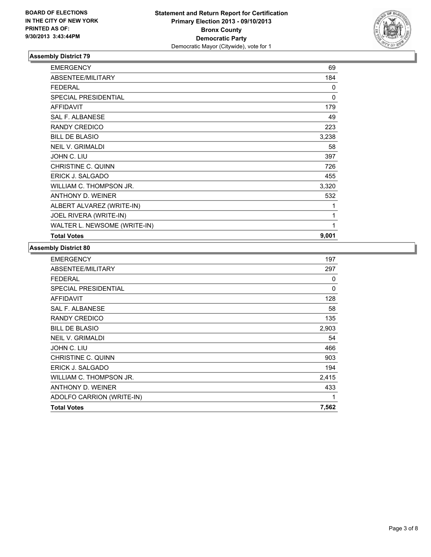

| <b>EMERGENCY</b>             | 69       |
|------------------------------|----------|
| ABSENTEE/MILITARY            | 184      |
| <b>FEDERAL</b>               | $\Omega$ |
| <b>SPECIAL PRESIDENTIAL</b>  | $\Omega$ |
| <b>AFFIDAVIT</b>             | 179      |
| <b>SAL F. ALBANESE</b>       | 49       |
| <b>RANDY CREDICO</b>         | 223      |
| <b>BILL DE BLASIO</b>        | 3,238    |
| <b>NEIL V. GRIMALDI</b>      | 58       |
| JOHN C. LIU                  | 397      |
| CHRISTINE C. QUINN           | 726      |
| <b>ERICK J. SALGADO</b>      | 455      |
| WILLIAM C. THOMPSON JR.      | 3,320    |
| ANTHONY D. WEINER            | 532      |
| ALBERT ALVAREZ (WRITE-IN)    | 1        |
| JOEL RIVERA (WRITE-IN)       | 1        |
| WALTER L. NEWSOME (WRITE-IN) | 1        |
| <b>Total Votes</b>           | 9,001    |

| <b>EMERGENCY</b>            | 197   |
|-----------------------------|-------|
| ABSENTEE/MILITARY           | 297   |
| <b>FEDERAL</b>              | 0     |
| <b>SPECIAL PRESIDENTIAL</b> | 0     |
| <b>AFFIDAVIT</b>            | 128   |
| SAL F. ALBANESE             | 58    |
| RANDY CREDICO               | 135   |
| <b>BILL DE BLASIO</b>       | 2,903 |
| <b>NEIL V. GRIMALDI</b>     | 54    |
| JOHN C. LIU                 | 466   |
| CHRISTINE C. QUINN          | 903   |
| ERICK J. SALGADO            | 194   |
| WILLIAM C. THOMPSON JR.     | 2,415 |
| ANTHONY D. WEINER           | 433   |
| ADOLFO CARRION (WRITE-IN)   | 1     |
| <b>Total Votes</b>          | 7,562 |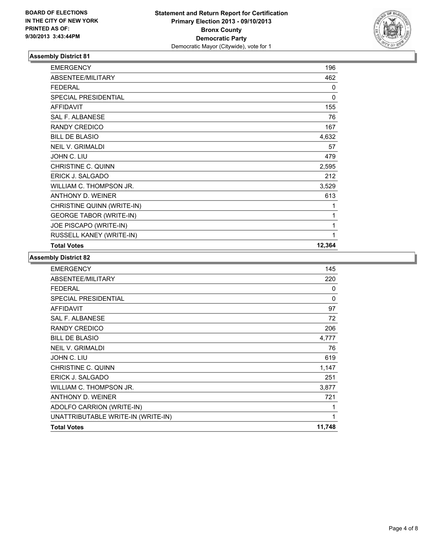

| <b>EMERGENCY</b>               | 196    |
|--------------------------------|--------|
| ABSENTEE/MILITARY              | 462    |
| <b>FEDERAL</b>                 | 0      |
| SPECIAL PRESIDENTIAL           | 0      |
| <b>AFFIDAVIT</b>               | 155    |
| <b>SAL F. ALBANESE</b>         | 76     |
| <b>RANDY CREDICO</b>           | 167    |
| <b>BILL DE BLASIO</b>          | 4,632  |
| <b>NEIL V. GRIMALDI</b>        | 57     |
| JOHN C. LIU                    | 479    |
| <b>CHRISTINE C. QUINN</b>      | 2,595  |
| ERICK J. SALGADO               | 212    |
| WILLIAM C. THOMPSON JR.        | 3,529  |
| <b>ANTHONY D. WEINER</b>       | 613    |
| CHRISTINE QUINN (WRITE-IN)     | 1      |
| <b>GEORGE TABOR (WRITE-IN)</b> | 1      |
| JOE PISCAPO (WRITE-IN)         | 1      |
| RUSSELL KANEY (WRITE-IN)       | 1      |
| <b>Total Votes</b>             | 12,364 |

| <b>EMERGENCY</b>                   | 145    |
|------------------------------------|--------|
| ABSENTEE/MILITARY                  | 220    |
| FEDERAL                            | 0      |
| <b>SPECIAL PRESIDENTIAL</b>        | 0      |
| AFFIDAVIT                          | 97     |
| <b>SAL F. ALBANESE</b>             | 72     |
| RANDY CREDICO                      | 206    |
| <b>BILL DE BLASIO</b>              | 4,777  |
| <b>NEIL V. GRIMALDI</b>            | 76     |
| JOHN C. LIU                        | 619    |
| <b>CHRISTINE C. QUINN</b>          | 1,147  |
| ERICK J. SALGADO                   | 251    |
| WILLIAM C. THOMPSON JR.            | 3,877  |
| ANTHONY D. WEINER                  | 721    |
| ADOLFO CARRION (WRITE-IN)          | 1      |
| UNATTRIBUTABLE WRITE-IN (WRITE-IN) | 1      |
| <b>Total Votes</b>                 | 11,748 |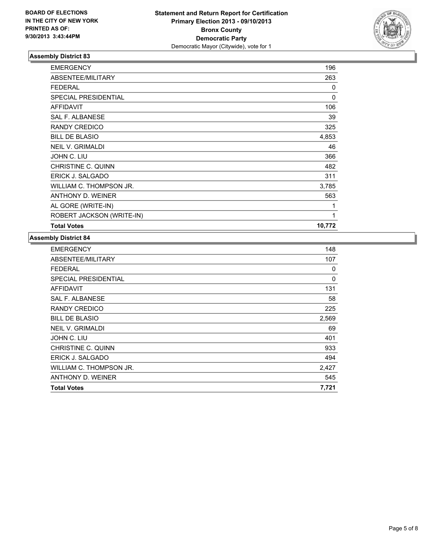

| <b>EMERGENCY</b>            | 196      |
|-----------------------------|----------|
| ABSENTEE/MILITARY           | 263      |
| <b>FEDERAL</b>              | 0        |
| <b>SPECIAL PRESIDENTIAL</b> | $\Omega$ |
| <b>AFFIDAVIT</b>            | 106      |
| <b>SAL F. ALBANESE</b>      | 39       |
| RANDY CREDICO               | 325      |
| <b>BILL DE BLASIO</b>       | 4,853    |
| <b>NEIL V. GRIMALDI</b>     | 46       |
| JOHN C. LIU                 | 366      |
| CHRISTINE C. QUINN          | 482      |
| ERICK J. SALGADO            | 311      |
| WILLIAM C. THOMPSON JR.     | 3,785    |
| ANTHONY D. WEINER           | 563      |
| AL GORE (WRITE-IN)          | 1        |
| ROBERT JACKSON (WRITE-IN)   | 1        |
| <b>Total Votes</b>          | 10,772   |

| <b>EMERGENCY</b>            | 148   |
|-----------------------------|-------|
| ABSENTEE/MILITARY           | 107   |
| <b>FEDERAL</b>              | 0     |
| <b>SPECIAL PRESIDENTIAL</b> | 0     |
| <b>AFFIDAVIT</b>            | 131   |
| <b>SAL F. ALBANESE</b>      | 58    |
| RANDY CREDICO               | 225   |
| <b>BILL DE BLASIO</b>       | 2,569 |
| <b>NEIL V. GRIMALDI</b>     | 69    |
| JOHN C. LIU                 | 401   |
| CHRISTINE C. QUINN          | 933   |
| ERICK J. SALGADO            | 494   |
| WILLIAM C. THOMPSON JR.     | 2,427 |
| ANTHONY D. WEINER           | 545   |
| <b>Total Votes</b>          | 7,721 |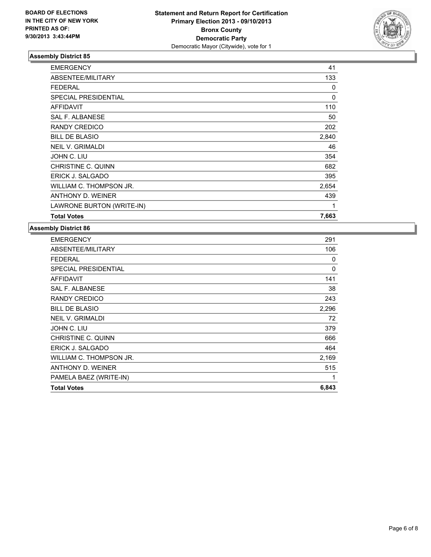

| <b>Total Votes</b>        | 7,663    |
|---------------------------|----------|
| LAWRONE BURTON (WRITE-IN) | 1        |
| ANTHONY D. WEINER         | 439      |
| WILLIAM C. THOMPSON JR.   | 2,654    |
| ERICK J. SALGADO          | 395      |
| CHRISTINE C. QUINN        | 682      |
| JOHN C. LIU               | 354      |
| <b>NEIL V. GRIMALDI</b>   | 46       |
| <b>BILL DE BLASIO</b>     | 2,840    |
| RANDY CREDICO             | 202      |
| <b>SAL F. ALBANESE</b>    | 50       |
| <b>AFFIDAVIT</b>          | 110      |
| SPECIAL PRESIDENTIAL      | $\Omega$ |
| <b>FEDERAL</b>            | 0        |
| ABSENTEE/MILITARY         | 133      |
| <b>EMERGENCY</b>          | 41       |

| <b>Total Votes</b>          | 6,843 |
|-----------------------------|-------|
| PAMELA BAEZ (WRITE-IN)      | 1     |
| ANTHONY D. WEINER           | 515   |
| WILLIAM C. THOMPSON JR.     | 2,169 |
| ERICK J. SALGADO            | 464   |
| CHRISTINE C. QUINN          | 666   |
| JOHN C. LIU                 | 379   |
| <b>NEIL V. GRIMALDI</b>     | 72    |
| <b>BILL DE BLASIO</b>       | 2,296 |
| RANDY CREDICO               | 243   |
| <b>SAL F. ALBANESE</b>      | 38    |
| <b>AFFIDAVIT</b>            | 141   |
| <b>SPECIAL PRESIDENTIAL</b> | 0     |
| <b>FEDERAL</b>              | 0     |
| ABSENTEE/MILITARY           | 106   |
| <b>EMERGENCY</b>            | 291   |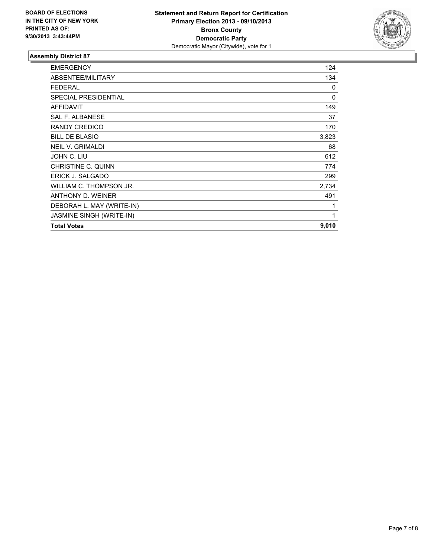

| <b>EMERGENCY</b>            | 124   |
|-----------------------------|-------|
| ABSENTEE/MILITARY           | 134   |
| <b>FEDERAL</b>              | 0     |
| <b>SPECIAL PRESIDENTIAL</b> | 0     |
| <b>AFFIDAVIT</b>            | 149   |
| <b>SAL F. ALBANESE</b>      | 37    |
| RANDY CREDICO               | 170   |
| <b>BILL DE BLASIO</b>       | 3,823 |
| <b>NEIL V. GRIMALDI</b>     | 68    |
| JOHN C. LIU                 | 612   |
| CHRISTINE C. QUINN          | 774   |
| ERICK J. SALGADO            | 299   |
| WILLIAM C. THOMPSON JR.     | 2,734 |
| ANTHONY D. WEINER           | 491   |
| DEBORAH L. MAY (WRITE-IN)   | 1     |
| JASMINE SINGH (WRITE-IN)    | 1     |
| <b>Total Votes</b>          | 9,010 |